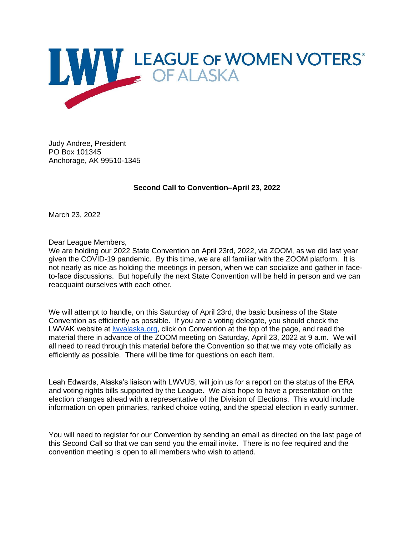

Judy Andree, President PO Box 101345 Anchorage, AK 99510-1345

**Second Call to Convention–April 23, 2022**

March 23, 2022

Dear League Members,

We are holding our 2022 State Convention on April 23rd, 2022, via ZOOM, as we did last year given the COVID-19 pandemic. By this time, we are all familiar with the ZOOM platform. It is not nearly as nice as holding the meetings in person, when we can socialize and gather in faceto-face discussions. But hopefully the next State Convention will be held in person and we can reacquaint ourselves with each other.

We will attempt to handle, on this Saturday of April 23rd, the basic business of the State Convention as efficiently as possible. If you are a voting delegate, you should check the LWVAK website at [lwvalaska.org,](http://lwvalaska.org/) click on Convention at the top of the page, and read the material there in advance of the ZOOM meeting on Saturday, April 23, 2022 at 9 a.m. We will all need to read through this material before the Convention so that we may vote officially as efficiently as possible. There will be time for questions on each item.

Leah Edwards, Alaska's liaison with LWVUS, will join us for a report on the status of the ERA and voting rights bills supported by the League. We also hope to have a presentation on the election changes ahead with a representative of the Division of Elections. This would include information on open primaries, ranked choice voting, and the special election in early summer.

You will need to register for our Convention by sending an email as directed on the last page of this Second Call so that we can send you the email invite. There is no fee required and the convention meeting is open to all members who wish to attend.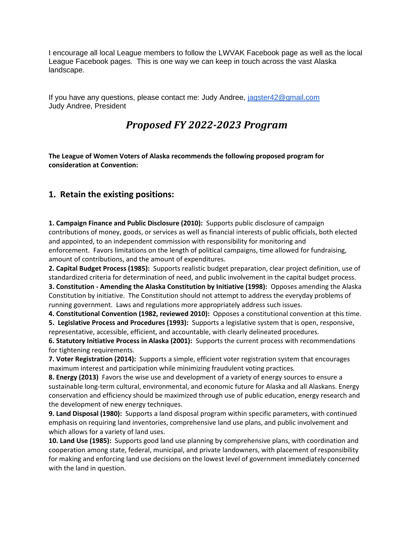I encourage all local League members to follow the LWVAK Facebook page as well as the local League Facebook pages. This is one way we can keep in touch across the vast Alaska landscape.

If you have any questions, please contact me: Judy Andree, [jagster42@gmail.com](mailto:jagster42@gmail.com) Judy Andree, President

# *Proposed FY 2022-2023 Program*

**The League of Women Voters of Alaska recommends the following proposed program for consideration at Convention:**

# **1. Retain the existing positions:**

**1. Campaign Finance and Public Disclosure (2010):** Supports public disclosure of campaign contributions of money, goods, or services as well as financial interests of public officials, both elected and appointed, to an independent commission with responsibility for monitoring and enforcement. Favors limitations on the length of political campaigns, time allowed for fundraising, amount of contributions, and the amount of expenditures.

**2. Capital Budget Process (1985):** Supports realistic budget preparation, clear project definition, use of standardized criteria for determination of need, and public involvement in the capital budget process. **3. Constitution - Amending the Alaska Constitution by Initiative (1998):** Opposes amending the Alaska Constitution by initiative. The Constitution should not attempt to address the everyday problems of running government. Laws and regulations more appropriately address such issues.

**4. Constitutional Convention (1982, reviewed 2010):** Opposes a constitutional convention at this time. **5. Legislative Process and Procedures (1993):** Supports a legislative system that is open, responsive,

representative, accessible, efficient, and accountable, with clearly delineated procedures.

**6. Statutory Initiative Process in Alaska (2001):** Supports the current process with recommendations for tightening requirements.

**7. Voter Registration (2014):** Supports a simple, efficient voter registration system that encourages maximum interest and participation while minimizing fraudulent voting practices*.*

**8. Energy (2013)** Favors the wise use and development of a variety of energy sources to ensure a sustainable long-term cultural, environmental, and economic future for Alaska and all Alaskans. Energy conservation and efficiency should be maximized through use of public education, energy research and the development of new energy techniques.

**9. Land Disposal (1980):** Supports a land disposal program within specific parameters, with continued emphasis on requiring land inventories, comprehensive land use plans, and public involvement and which allows for a variety of land uses.

**10. Land Use (1985):** Supports good land use planning by comprehensive plans, with coordination and cooperation among state, federal, municipal, and private landowners, with placement of responsibility for making and enforcing land use decisions on the lowest level of government immediately concerned with the land in question.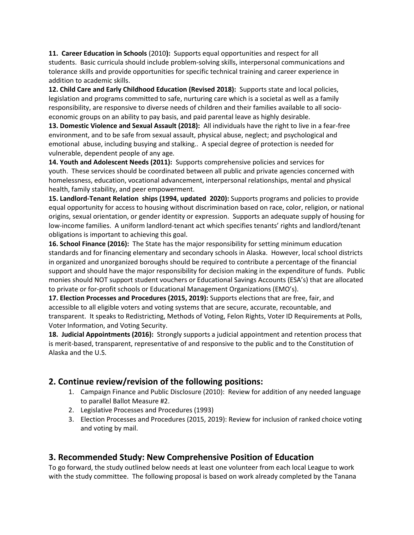**11. Career Education in Schools** (2010**):** Supports equal opportunities and respect for all students. Basic curricula should include problem-solving skills, interpersonal communications and tolerance skills and provide opportunities for specific technical training and career experience in addition to academic skills.

**12. Child Care and Early Childhood Education (Revised 2018):** Supports state and local policies, legislation and programs committed to safe, nurturing care which is a societal as well as a family responsibility, are responsive to diverse needs of children and their families available to all socioeconomic groups on an ability to pay basis, and paid parental leave as highly desirable.

**13. Domestic Violence and Sexual Assault (2018):** All individuals have the right to live in a fear-free environment, and to be safe from sexual assault, physical abuse, neglect; and psychological and emotional abuse, including busying and stalking.. A special degree of protection is needed for vulnerable, dependent people of any age*.* 

**14. Youth and Adolescent Needs (2011):** Supports comprehensive policies and services for youth. These services should be coordinated between all public and private agencies concerned with homelessness, education, vocational advancement, interpersonal relationships, mental and physical health, family stability, and peer empowerment.

**15. Landlord-Tenant Relation ships (1994, updated 2020):** Supports programs and policies to provide equal opportunity for access to housing without discrimination based on race, color, religion, or national origins, sexual orientation, or gender identity or expression. Supports an adequate supply of housing for low-income families. A uniform landlord-tenant act which specifies tenants' rights and landlord/tenant obligations is important to achieving this goal.

**16. School Finance (2016):** The State has the major responsibility for setting minimum education standards and for financing elementary and secondary schools in Alaska. However, local school districts in organized and unorganized boroughs should be required to contribute a percentage of the financial support and should have the major responsibility for decision making in the expenditure of funds. Public monies should NOT support student vouchers or Educational Savings Accounts (ESA's) that are allocated to private or for-profit schools or Educational Management Organizations (EMO's).

**17. Election Processes and Procedures (2015, 2019):** Supports elections that are free, fair, and accessible to all eligible voters and voting systems that are secure, accurate, recountable, and transparent. It speaks to Redistricting, Methods of Voting, Felon Rights, Voter ID Requirements at Polls, Voter Information, and Voting Security.

**18. Judicial Appointments (2016):** Strongly supports a judicial appointment and retention process that is merit-based, transparent, representative of and responsive to the public and to the Constitution of Alaska and the U.S.

# **2. Continue review/revision of the following positions:**

- 1. Campaign Finance and Public Disclosure (2010): Review for addition of any needed language to parallel Ballot Measure #2.
- 2. Legislative Processes and Procedures (1993)
- 3. Election Processes and Procedures (2015, 2019): Review for inclusion of ranked choice voting and voting by mail.

# **3. Recommended Study: New Comprehensive Position of Education**

To go forward, the study outlined below needs at least one volunteer from each local League to work with the study committee. The following proposal is based on work already completed by the Tanana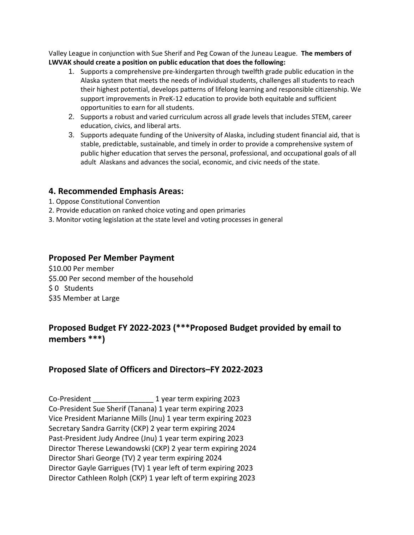Valley League in conjunction with Sue Sherif and Peg Cowan of the Juneau League. **The members of LWVAK should create a position on public education that does the following:**

- 1. Supports a comprehensive pre-kindergarten through twelfth grade public education in the Alaska system that meets the needs of individual students, challenges all students to reach their highest potential, develops patterns of lifelong learning and responsible citizenship. We support improvements in PreK-12 education to provide both equitable and sufficient opportunities to earn for all students.
- 2. Supports a robust and varied curriculum across all grade levels that includes STEM, career education, civics, and liberal arts.
- 3. Supports adequate funding of the University of Alaska, including student financial aid, that is stable, predictable, sustainable, and timely in order to provide a comprehensive system of public higher education that serves the personal, professional, and occupational goals of all adult Alaskans and advances the social, economic, and civic needs of the state.

#### **4. Recommended Emphasis Areas:**

- 1. Oppose Constitutional Convention
- 2. Provide education on ranked choice voting and open primaries
- 3. Monitor voting legislation at the state level and voting processes in general

# **Proposed Per Member Payment**

\$10.00 Per member \$5.00 Per second member of the household \$ 0 Students \$35 Member at Large

# **Proposed Budget FY 2022-2023 (\*\*\*Proposed Budget provided by email to members \*\*\*)**

# **Proposed Slate of Officers and Directors–FY 2022-2023**

Co-President \_\_\_\_\_\_\_\_\_\_\_\_\_\_\_ 1 year term expiring 2023 Co-President Sue Sherif (Tanana) 1 year term expiring 2023 Vice President Marianne Mills (Jnu) 1 year term expiring 2023 Secretary Sandra Garrity (CKP) 2 year term expiring 2024 Past-President Judy Andree (Jnu) 1 year term expiring 2023 Director Therese Lewandowski (CKP) 2 year term expiring 2024 Director Shari George (TV) 2 year term expiring 2024 Director Gayle Garrigues (TV) 1 year left of term expiring 2023 Director Cathleen Rolph (CKP) 1 year left of term expiring 2023